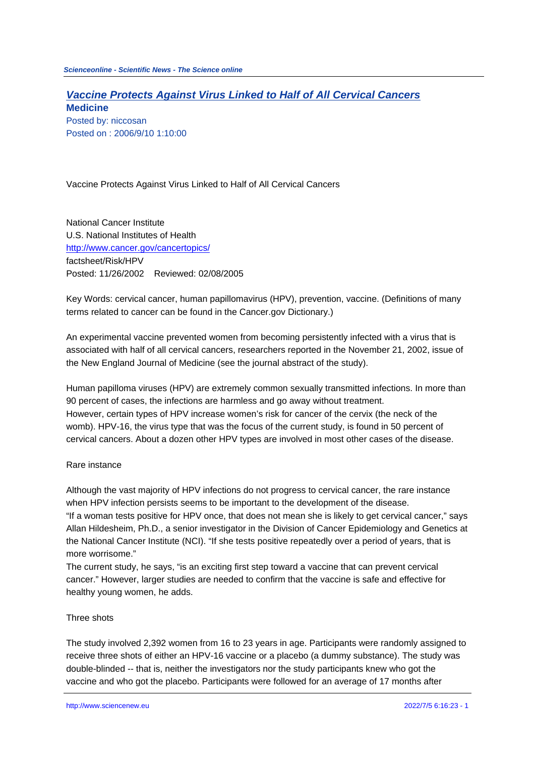# **Vaccine Protects Against Virus Linked to Half of All Cervical Cancers**

**Medicine** Posted by: niccosan Posted on : 2006/9/10 1:10:00

Vaccine Protects Against Virus Linked to Half of All Cervical Cancers

National Cancer Institute U.S. National Institutes of Health http://www.cancer.gov/cancertopics/ factsheet/Risk/HPV Posted: 11/26/2002 Reviewed: 02/08/2005

[Key Words: cervical cancer, human p](http://www.cancer.gov/cancertopics/)apillomavirus (HPV), prevention, vaccine. (Definitions of many terms related to cancer can be found in the Cancer.gov Dictionary.)

An experimental vaccine prevented women from becoming persistently infected with a virus that is associated with half of all cervical cancers, researchers reported in the November 21, 2002, issue of the New England Journal of Medicine (see the journal abstract of the study).

Human papilloma viruses (HPV) are extremely common sexually transmitted infections. In more than 90 percent of cases, the infections are harmless and go away without treatment. However, certain types of HPV increase women's risk for cancer of the cervix (the neck of the womb). HPV-16, the virus type that was the focus of the current study, is found in 50 percent of cervical cancers. About a dozen other HPV types are involved in most other cases of the disease.

### Rare instance

Although the vast majority of HPV infections do not progress to cervical cancer, the rare instance when HPV infection persists seems to be important to the development of the disease. "If a woman tests positive for HPV once, that does not mean she is likely to get cervical cancer," says Allan Hildesheim, Ph.D., a senior investigator in the Division of Cancer Epidemiology and Genetics at the National Cancer Institute (NCI). "If she tests positive repeatedly over a period of years, that is more worrisome."

The current study, he says, "is an exciting first step toward a vaccine that can prevent cervical cancer." However, larger studies are needed to confirm that the vaccine is safe and effective for healthy young women, he adds.

### Three shots

The study involved 2,392 women from 16 to 23 years in age. Participants were randomly assigned to receive three shots of either an HPV-16 vaccine or a placebo (a dummy substance). The study was double-blinded -- that is, neither the investigators nor the study participants knew who got the vaccine and who got the placebo. Participants were followed for an average of 17 months after